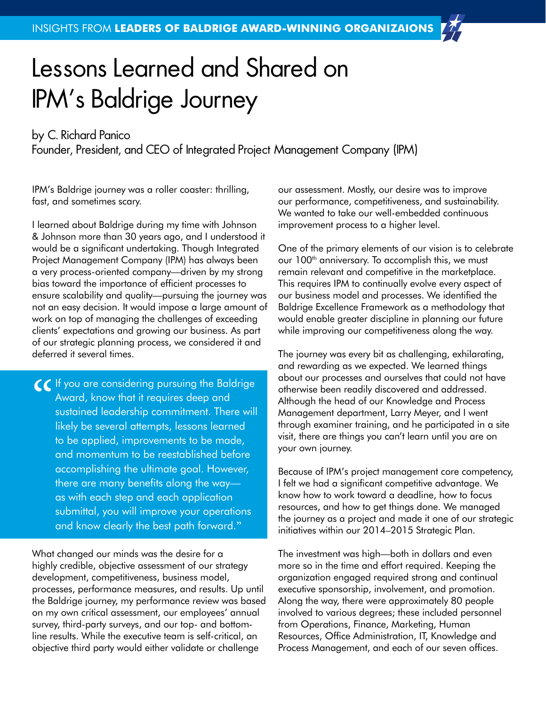## Lessons Learned and Shared on IPM's Baldrige Journey

## by C. Richard Panico

Founder, President, and CEO of Integrated Project Management Company (IPM)

IPM's Baldrige journey was a roller coaster: thrilling, fast, and sometimes scary.

I learned about Baldrige during my time with Johnson & Johnson more than 30 years ago, and I understood it would be a significant undertaking. Though Integrated Project Management Company (IPM) has always been a very process-oriented company—driven by my strong bias toward the importance of efficient processes to ensure scalability and quality—pursuing the journey was not an easy decision. It would impose a large amount of work on top of managing the challenges of exceeding clients' expectations and growing our business. As part of our strategic planning process, we considered it and deferred it several times.

CC If you are considering pursuing the Baldrige<br>Award, know that it requires deep and<br>sustained leadership commitment. There will<br>likely be several attempts, lessons learned Award, know that it requires deep and sustained leadership commitment. There will likely be several attempts, lessons learned to be applied, improvements to be made, and momentum to be reestablished before accomplishing the ultimate goal. However, there are many benefits along the way as with each step and each application submittal, you will improve your operations and know clearly the best path forward."

What changed our minds was the desire for a highly credible, objective assessment of our strategy development, competitiveness, business model, processes, performance measures, and results. Up until the Baldrige journey, my performance review was based on my own critical assessment, our employees' annual survey, third-party surveys, and our top- and bottomline results. While the executive team is self-critical, an objective third party would either validate or challenge

our assessment. Mostly, our desire was to improve our performance, competitiveness, and sustainability. We wanted to take our well-embedded continuous improvement process to a higher level.

One of the primary elements of our vision is to celebrate our 100<sup>th</sup> anniversary. To accomplish this, we must remain relevant and competitive in the marketplace. This requires IPM to continually evolve every aspect of our business model and processes. We identified the Baldrige Excellence Framework as a methodology that would enable greater discipline in planning our future while improving our competitiveness along the way.

The journey was every bit as challenging, exhilarating, and rewarding as we expected. We learned things about our processes and ourselves that could not have otherwise been readily discovered and addressed. Although the head of our Knowledge and Process Management department, Larry Meyer, and I went through examiner training, and he participated in a site visit, there are things you can't learn until you are on your own journey.

Because of IPM's project management core competency, I felt we had a significant competitive advantage. We know how to work toward a deadline, how to focus resources, and how to get things done. We managed the journey as a project and made it one of our strategic initiatives within our 2014–2015 Strategic Plan.

The investment was high—both in dollars and even more so in the time and effort required. Keeping the organization engaged required strong and continual executive sponsorship, involvement, and promotion. Along the way, there were approximately 80 people involved to various degrees; these included personnel from Operations, Finance, Marketing, Human Resources, Office Administration, IT, Knowledge and Process Management, and each of our seven offices.